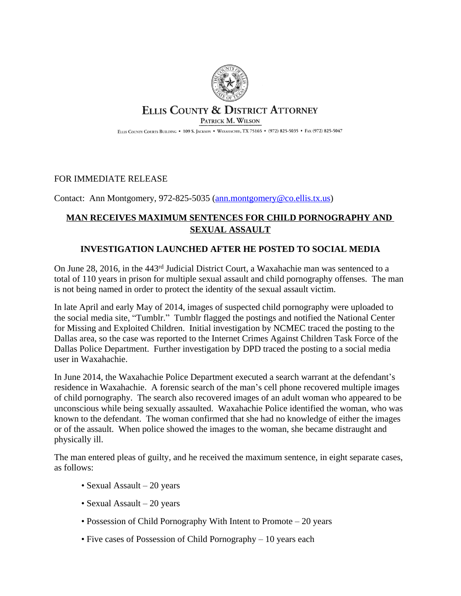

## ELLIS COUNTY & DISTRICT ATTORNEY PATRICK M. WILSON

ELLIS COUNTY COURTS BUILDING . 109 S. JACKSON . WAXAHACHIE, TX 75165 . (972) 825-5035 . FAX (972) 825-5047

## FOR IMMEDIATE RELEASE

Contact: Ann Montgomery, 972-825-5035 ([ann.montgomery@co.ellis.tx.us](mailto:ann.montgomery@co.ellis.tx.us))

## **MAN RECEIVES MAXIMUM SENTENCES FOR CHILD PORNOGRAPHY AND SEXUAL ASSAULT**

## **INVESTIGATION LAUNCHED AFTER HE POSTED TO SOCIAL MEDIA**

On June 28, 2016, in the 443rd Judicial District Court, a Waxahachie man was sentenced to a total of 110 years in prison for multiple sexual assault and child pornography offenses. The man is not being named in order to protect the identity of the sexual assault victim.

In late April and early May of 2014, images of suspected child pornography were uploaded to the social media site, "Tumblr." Tumblr flagged the postings and notified the National Center for Missing and Exploited Children. Initial investigation by NCMEC traced the posting to the Dallas area, so the case was reported to the Internet Crimes Against Children Task Force of the Dallas Police Department. Further investigation by DPD traced the posting to a social media user in Waxahachie.

In June 2014, the Waxahachie Police Department executed a search warrant at the defendant's residence in Waxahachie. A forensic search of the man's cell phone recovered multiple images of child pornography. The search also recovered images of an adult woman who appeared to be unconscious while being sexually assaulted. Waxahachie Police identified the woman, who was known to the defendant. The woman confirmed that she had no knowledge of either the images or of the assault. When police showed the images to the woman, she became distraught and physically ill.

The man entered pleas of guilty, and he received the maximum sentence, in eight separate cases, as follows:

- Sexual Assault 20 years
- Sexual Assault 20 years
- Possession of Child Pornography With Intent to Promote 20 years
- Five cases of Possession of Child Pornography 10 years each